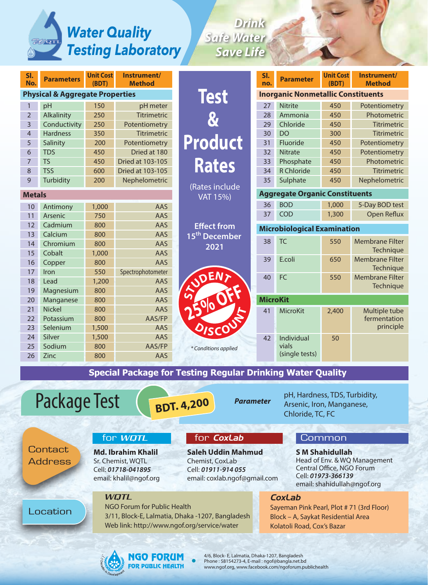

**M** 

### *Drink Safe Water Save Life*

| SI.<br>No.                                 | <b>Parameters</b> | <b>Unit Cost</b><br>(BDT) | Instrument/<br><b>Method</b> |                                                          | SI.<br>no. | <b>Parameter</b>                      | <b>Unit Cost</b><br>(BDT) | Instrument/<br><b>Method</b>        |
|--------------------------------------------|-------------------|---------------------------|------------------------------|----------------------------------------------------------|------------|---------------------------------------|---------------------------|-------------------------------------|
| <b>Physical &amp; Aggregate Properties</b> |                   |                           |                              | <b>Test</b><br><b>Inorganic Nonmetallic Constituents</b> |            |                                       |                           |                                     |
| $\mathbf{1}$                               | pH                | 150                       | pH meter                     |                                                          | 27         | <b>Nitrite</b>                        | 450                       | Potentiometry                       |
| $\overline{2}$                             | Alkalinity        | 250                       | <b>Titrimetric</b>           |                                                          | 28         | Ammonia                               | 450                       | Photometric                         |
| 3                                          | Conductivity      | 250                       | Potentiometry                |                                                          | 29         | Chloride                              | 450                       | Titrimetric                         |
| 4                                          | <b>Hardness</b>   | 350                       | <b>Titrimetric</b>           |                                                          | 30         | <b>DO</b>                             | 300                       | <b>Titrimetric</b>                  |
| 5                                          | Salinity          | 200                       | Potentiometry                | <b>Product</b>                                           | 31         | Fluoride                              | 450                       | Potentiometry                       |
| 6                                          | <b>TDS</b>        | 450                       | Dried at 180                 |                                                          | 32         | <b>Nitrate</b>                        | 450                       | Potentiometry                       |
| $\overline{7}$                             | <b>TS</b>         | 450                       | Dried at 103-105             | <b>Rates</b>                                             | 33         | Phosphate                             | 450                       | Photometric                         |
| 8                                          | <b>TSS</b>        | 600                       | Dried at 103-105             |                                                          | 34         | <b>R</b> Chloride                     | 450                       | Titrimetric                         |
| 9                                          | Turbidity         | 200                       | Nephelometric                |                                                          | 35         | Sulphate                              | 450                       | Nephelometric                       |
|                                            |                   |                           |                              | (Rates include                                           |            | <b>Aggregate Organic Constituents</b> |                           |                                     |
|                                            | <b>Metals</b>     |                           |                              | <b>VAT 15%)</b>                                          |            |                                       |                           |                                     |
| 10                                         | Antimony          | 1,000                     | AAS                          |                                                          | 36         | <b>BOD</b>                            | 1,000                     | 5-Day BOD test                      |
| 11                                         | Arsenic           | 750                       | AAS                          |                                                          | 37         | <b>COD</b>                            | 1,300                     | <b>Open Reflux</b>                  |
| 12                                         | Cadmium           | 800                       | AAS                          | <b>Effect from</b><br><b>Microbiological Examination</b> |            |                                       |                           |                                     |
| 13                                         | Calcium           | 800                       | AAS                          | 15 <sup>th</sup> December                                |            |                                       |                           |                                     |
| 14                                         | Chromium          | 800                       | AAS                          | 2021                                                     | 38         | <b>TC</b>                             | 550                       | <b>Membrane Filter</b><br>Technique |
| 15                                         | Cobalt            | 1,000                     | AAS                          |                                                          | 39         | E.coli                                | 650                       | <b>Membrane Filter</b>              |
| 16                                         | Copper            | 800                       | AAS                          |                                                          |            |                                       |                           | Technique                           |
| 17                                         | Iron              | 550                       | Spectrophotometer            |                                                          | 40         | FC                                    | 550                       | <b>Membrane Filter</b>              |
| 18                                         | Lead              | 1,200                     | AAS                          |                                                          |            |                                       |                           | Technique                           |
| 19                                         | Magnesium         | 800                       | AAS                          |                                                          |            |                                       |                           |                                     |
| 20                                         | Manganese         | 800                       | AAS                          | <b>MicroKit</b>                                          |            |                                       |                           |                                     |
| 21                                         | <b>Nickel</b>     | 800                       | <b>AAS</b>                   |                                                          | 41         | MicroKit                              | 2,400                     | Multiple tube                       |
| 22                                         | Potassium         | 800                       | AAS/FP                       |                                                          |            |                                       |                           | fermentation                        |
| 23                                         | Selenium          | 1,500                     | AAS                          |                                                          |            |                                       |                           | principle                           |
| 24                                         | Silver            | 1,500                     | AAS                          |                                                          | 42         | Individual                            | 50                        |                                     |
| 25                                         | Sodium            | 800                       | AAS/FP                       | * Conditions applied                                     |            | vials                                 |                           |                                     |
| 26                                         | <b>Zinc</b>       | 800                       | AAS                          |                                                          |            | (single tests)                        |                           |                                     |

**Special Package for Testing Regular Drinking Water Quality**



*Parameter* pH, Hardness, TDS, Turbidity, Arsenic, Iron, Manganese, Chloride, TC, FC

**Contact** Address

### for *WQTL*

**Md. Ibrahim Khalil** Sr. Chemist, WQTL Cell: *01718-041895* email: khalil@ngof.org

### for *CoxLab*

**Saleh Uddin Mahmud** Chemist, CoxLab Cell: *01911-914 055* email: coxlab.ngof@gmail.com

### **Common**

**S M Shahidullah** Head of Env. & WQ Management Central Office, NGO Forum Cell: *01973-366139* email: shahidullah@ngof.org

Location

### *WQTL* NGO Forum for Public Health

3/11, Block-E, Lalmatia, Dhaka -1207, Bangladesh Web link: http://www.ngof.org/service/water

### *CoxLab*

Sayeman Pink Pearl, Plot # 71 (3rd Floor) Block – A, Saykat Residential Area Kolatoli Road, Cox's Bazar



4/6, Block- E, Lalmatia, Dhaka-1207, Bangladesh Phone : 58154273-4, E-mail : ngof@bangla.net.bd www.ngof.org, www.facebook.com/ngoforum.publichealth